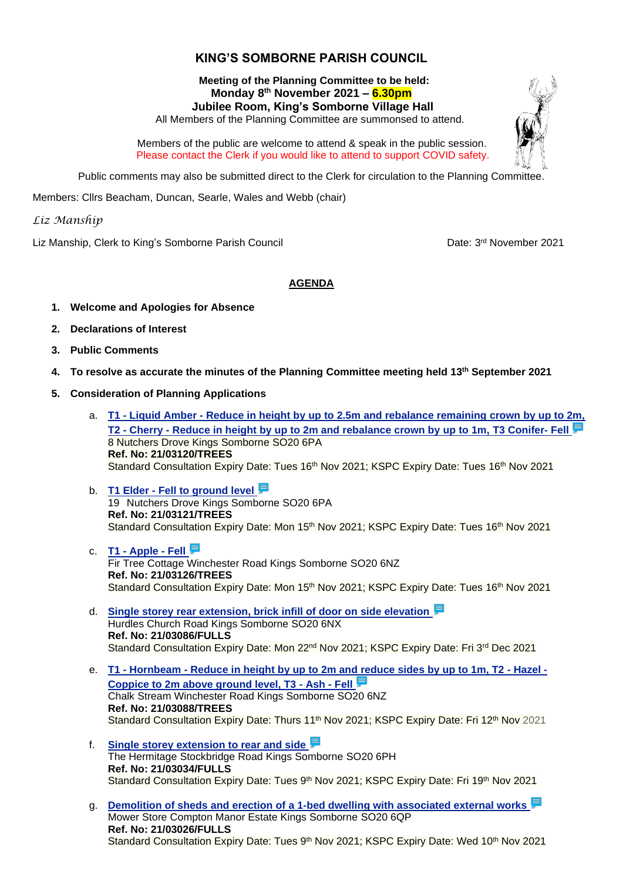## **KING'S SOMBORNE PARISH COUNCIL**

## **Meeting of the Planning Committee to be held: Monday 8 th November 2021 – 6.30pm Jubilee Room, King's Somborne Village Hall**

All Members of the Planning Committee are summonsed to attend.

 Members of the public are welcome to attend & speak in the public session. Please contact the Clerk if you would like to attend to support COVID safety.

Public comments may also be submitted direct to the Clerk for circulation to the Planning Committee.

Members: Cllrs Beacham, Duncan, Searle, Wales and Webb (chair)

*Liz Manship*

Liz Manship, Clerk to King's Somborne Parish Council

Date: 3rd November 2021

## **AGENDA**

- **1. Welcome and Apologies for Absence**
- **2. Declarations of Interest**
- **3. Public Comments**
- **4. To resolve as accurate the minutes of the Planning Committee meeting held 13th September 2021**
- **5. Consideration of Planning Applications**
	- a. **T1 - Liquid Amber - [Reduce in height by up to 2.5m and rebalance remaining crown by up to 2m,](https://view-applications.testvalley.gov.uk/online-applications/applicationDetails.do?keyVal=R1J4RTQC0PP00&activeTab=summary)  T2 - Cherry - [Reduce in height by up to 2m and rebalance crown by up to 1m,](https://view-applications.testvalley.gov.uk/online-applications/applicationDetails.do?keyVal=R1J4RTQC0PP00&activeTab=summary) T3 Conifer- Fell** 8 Nutchers Drove Kings Somborne SO20 6PA **Ref. No: 21/03120/TREES** Standard Consultation Expiry Date: Tues 16<sup>th</sup> Nov 2021; KSPC Expiry Date: Tues 16<sup>th</sup> Nov 2021
	- b. **T1 Elder - [Fell to ground level](https://view-applications.testvalley.gov.uk/online-applications/applicationDetails.do?keyVal=R1J59VQC0JA00&activeTab=summary)** 19 Nutchers Drove Kings Somborne SO20 6PA **Ref. No: 21/03121/TREES** Standard Consultation Expiry Date: Mon 15<sup>th</sup> Nov 2021; KSPC Expiry Date: Tues 16<sup>th</sup> Nov 2021
	- c. **T1 - [Apple -](https://view-applications.testvalley.gov.uk/online-applications/applicationDetails.do?keyVal=R1J94FQC0F200&activeTab=summary) Fell** Fir Tree Cottage Winchester Road Kings Somborne SO20 6NZ **Ref. No: 21/03126/TREES** Standard Consultation Expiry Date: Mon 15<sup>th</sup> Nov 2021; KSPC Expiry Date: Tues 16<sup>th</sup> Nov 2021
	- d. **[Single storey rear extension, brick infill of door on side elevation](https://view-applications.testvalley.gov.uk/online-applications/applicationDetails.do?keyVal=R1BF8UQCILW00&activeTab=summary)** Hurdles Church Road Kings Somborne SO20 6NX **Ref. No: 21/03086/FULLS** Standard Consultation Expiry Date: Mon 22<sup>nd</sup> Nov 2021; KSPC Expiry Date: Fri 3<sup>rd</sup> Dec 2021
	- e. **T1 - Hornbeam - [Reduce in height by up to 2m and reduce sides by up to 1m, T2 -](https://view-applications.testvalley.gov.uk/online-applications/applicationDetails.do?keyVal=R1BF92QCIM000&activeTab=summary) Hazel - [Coppice to 2m above ground level, T3 -](https://view-applications.testvalley.gov.uk/online-applications/applicationDetails.do?keyVal=R1BF92QCIM000&activeTab=summary) Ash - Fell** Chalk Stream Winchester Road Kings Somborne SO20 6NZ **Ref. No: 21/03088/TREES** Standard Consultation Expiry Date: Thurs 11<sup>th</sup> Nov 2021; KSPC Expiry Date: Fri 12<sup>th</sup> Nov 2021
	- f. **[Single storey extension to rear and side](https://view-applications.testvalley.gov.uk/online-applications/applicationDetails.do?keyVal=R125VZQCIGU00&activeTab=summary)** The Hermitage Stockbridge Road Kings Somborne SO20 6PH **Ref. No: 21/03034/FULLS** Standard Consultation Expiry Date: Tues 9<sup>th</sup> Nov 2021; KSPC Expiry Date: Fri 19<sup>th</sup> Nov 2021
	- g. **[Demolition of sheds and erection of a 1-bed dwelling with associated external works](https://view-applications.testvalley.gov.uk/online-applications/applicationDetails.do?keyVal=R10B8WQCIFL00&activeTab=summary)** Mower Store Compton Manor Estate Kings Somborne SO20 6QP **Ref. No: 21/03026/FULLS** Standard Consultation Expiry Date: Tues 9<sup>th</sup> Nov 2021; KSPC Expiry Date: Wed 10<sup>th</sup> Nov 2021

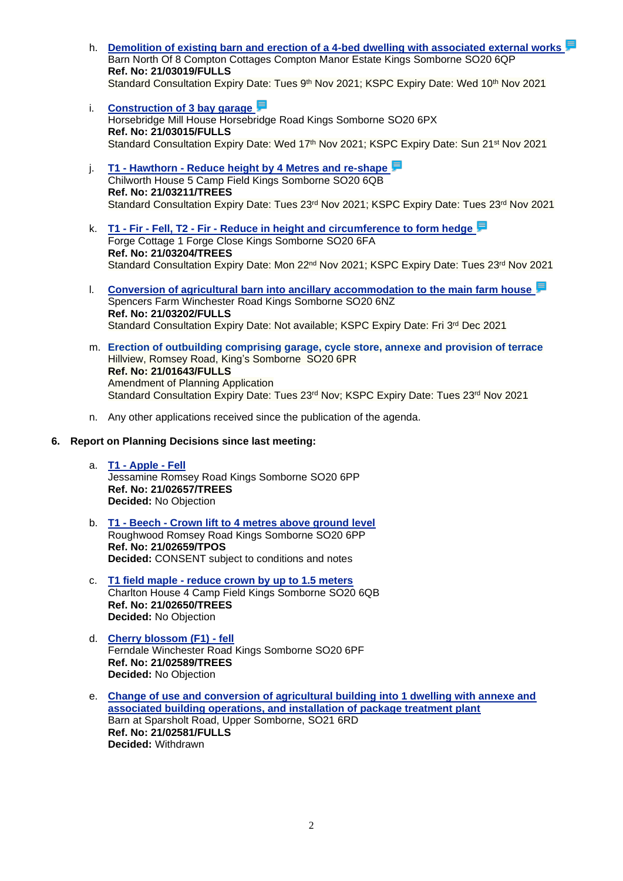- h. **[Demolition of existing barn and erection of a 4-bed dwelling with associated external works](https://view-applications.testvalley.gov.uk/online-applications/applicationDetails.do?keyVal=R0YYOWQCIF000&activeTab=summary)** Barn North Of 8 Compton Cottages Compton Manor Estate Kings Somborne SO20 6QP **Ref. No: 21/03019/FULLS** Standard Consultation Expiry Date: Tues 9<sup>th</sup> Nov 2021; KSPC Expiry Date: Wed 10<sup>th</sup> Nov 2021
- i. **[Construction of 3 bay garage](https://view-applications.testvalley.gov.uk/online-applications/applicationDetails.do?keyVal=R0YS3SQC0QB00&activeTab=summary)** Horsebridge Mill House Horsebridge Road Kings Somborne SO20 6PX **Ref. No: 21/03015/FULLS** Standard Consultation Expiry Date: Wed 17<sup>th</sup> Nov 2021; KSPC Expiry Date: Sun 21<sup>st</sup> Nov 2021
- j. **T1 - Hawthorn - [Reduce height by 4 Metres and re-shape](https://view-applications.testvalley.gov.uk/online-applications/applicationDetails.do?keyVal=R1WJ3XQC0QB00&activeTab=summary)** Chilworth House 5 Camp Field Kings Somborne SO20 6QB **Ref. No: 21/03211/TREES** Standard Consultation Expiry Date: Tues 23rd Nov 2021; KSPC Expiry Date: Tues 23rd Nov 2021
- k. **T1 - Fir - Fell, T2 - Fir - [Reduce in height and circumference to form hedge](https://view-applications.testvalley.gov.uk/online-applications/applicationDetails.do?keyVal=R1WC5JQC0QB00&activeTab=summary)** Forge Cottage 1 Forge Close Kings Somborne SO20 6FA **Ref. No: 21/03204/TREES** Standard Consultation Expiry Date: Mon 22<sup>nd</sup> Nov 2021; KSPC Expiry Date: Tues 23<sup>rd</sup> Nov 2021
- l. **[Conversion of agricultural barn into ancillary accommodation to the main farm house](https://view-applications.testvalley.gov.uk/online-applications/applicationDetails.do?keyVal=R1W9A0QCIX700&activeTab=summary)** Spencers Farm Winchester Road Kings Somborne SO20 6NZ **Ref. No: 21/03202/FULLS** Standard Consultation Expiry Date: Not available; KSPC Expiry Date: Fri 3rd Dec 2021
- m. **Erection of outbuilding comprising garage, cycle store, annexe and provision of terrace** Hillview, Romsey Road, King's Somborne SO20 6PR **Ref. No: 21/01643/FULLS** Amendment of Planning Application Standard Consultation Expiry Date: Tues 23<sup>rd</sup> Nov; KSPC Expiry Date: Tues 23<sup>rd</sup> Nov 2021
- n. Any other applications received since the publication of the agenda.
- **6. Report on Planning Decisions since last meeting:**
	- a. **T1 - [Apple -](https://view-applications.testvalley.gov.uk/online-applications/applicationDetails.do?keyVal=QZ7X5JQC0QB00&activeTab=summary) Fell** Jessamine Romsey Road Kings Somborne SO20 6PP **Ref. No: 21/02657/TREES Decided:** No Objection
	- b. **T1 - Beech - [Crown lift to 4 metres above ground level](https://view-applications.testvalley.gov.uk/online-applications/applicationDetails.do?keyVal=QZ7ZTHQC0QB00&activeTab=summary)** Roughwood Romsey Road Kings Somborne SO20 6PP **Ref. No: 21/02659/TPOS Decided:** CONSENT subject to conditions and notes
	- c. **T1 field maple - [reduce crown by up to 1.5 meters](https://view-applications.testvalley.gov.uk/online-applications/applicationDetails.do?keyVal=QZ7MLHQC0JA00&activeTab=summary)** Charlton House 4 Camp Field Kings Somborne SO20 6QB **Ref. No: 21/02650/TREES Decided:** No Objection
	- d. **[Cherry blossom \(F1\) -](https://view-applications.testvalley.gov.uk/online-applications/applicationDetails.do?keyVal=QYWDXHQCH9400&activeTab=summary) fell** Ferndale Winchester Road Kings Somborne SO20 6PF **Ref. No: 21/02589/TREES Decided:** No Objection
	- e. **[Change of use and conversion of agricultural building into 1 dwelling with annexe and](https://view-applications.testvalley.gov.uk/online-applications/applicationDetails.do?keyVal=QYUVS2QCH8H00&activeTab=summary)  [associated building operations, and installation of package treatment plant](https://view-applications.testvalley.gov.uk/online-applications/applicationDetails.do?keyVal=QYUVS2QCH8H00&activeTab=summary)** Barn at Sparsholt Road, Upper Somborne, SO21 6RD **Ref. No: 21/02581/FULLS Decided:** Withdrawn